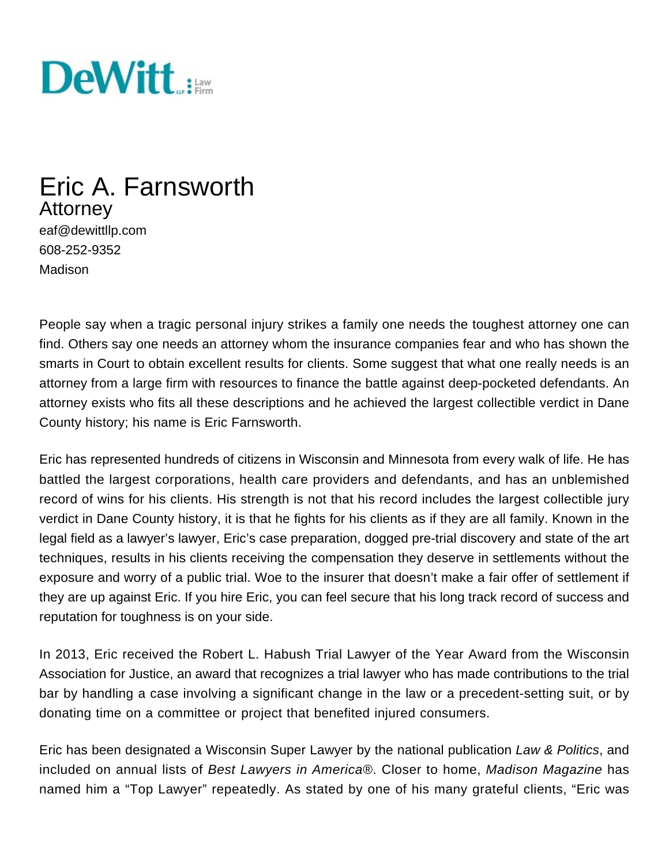

# Eric A. Farnsworth Attorney

eaf@dewittllp.com 608-252-9352 Madison

People say when a tragic personal injury strikes a family one needs the toughest attorney one can find. Others say one needs an attorney whom the insurance companies fear and who has shown the smarts in Court to obtain excellent results for clients. Some suggest that what one really needs is an attorney from a large firm with resources to finance the battle against deep-pocketed defendants. An attorney exists who fits all these descriptions and he achieved the largest collectible verdict in Dane County history; his name is Eric Farnsworth.

Eric has represented hundreds of citizens in Wisconsin and Minnesota from every walk of life. He has battled the largest corporations, health care providers and defendants, and has an unblemished record of wins for his clients. His strength is not that his record includes the largest collectible jury verdict in Dane County history, it is that he fights for his clients as if they are all family. Known in the legal field as a lawyer's lawyer, Eric's case preparation, dogged pre-trial discovery and state of the art techniques, results in his clients receiving the compensation they deserve in settlements without the exposure and worry of a public trial. Woe to the insurer that doesn't make a fair offer of settlement if they are up against Eric. If you hire Eric, you can feel secure that his long track record of success and reputation for toughness is on your side.

In 2013, Eric received the Robert L. Habush Trial Lawyer of the Year Award from the Wisconsin Association for Justice, an award that recognizes a trial lawyer who has made contributions to the trial bar by handling a case involving a significant change in the law or a precedent-setting suit, or by donating time on a committee or project that benefited injured consumers.

Eric has been designated a Wisconsin Super Lawyer by the national publication Law & Politics, and included on annual lists of Best Lawyers in America®. Closer to home, Madison Magazine has named him a "Top Lawyer" repeatedly. As stated by one of his many grateful clients, "Eric was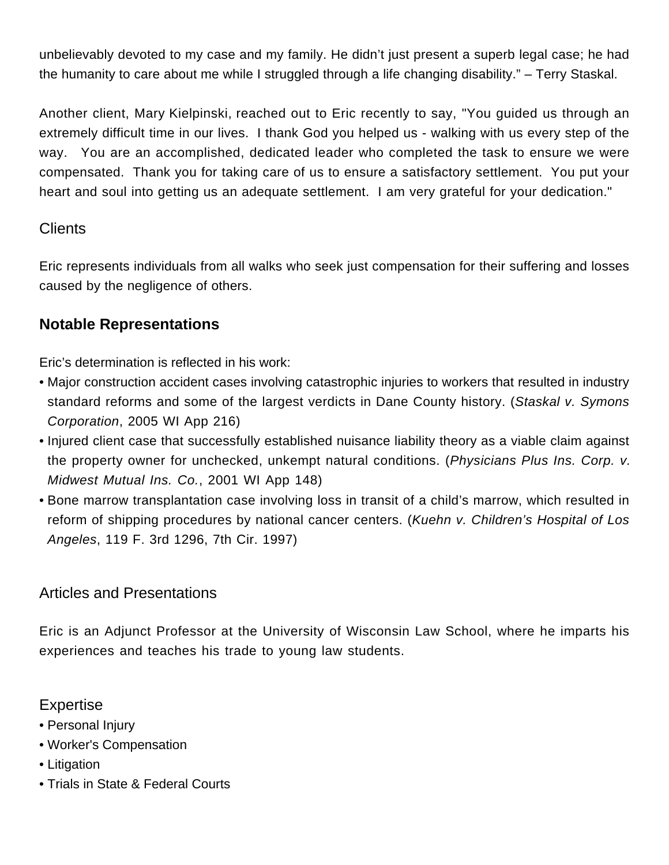unbelievably devoted to my case and my family. He didn't just present a superb legal case; he had the humanity to care about me while I struggled through a life changing disability." – Terry Staskal.

Another client, Mary Kielpinski, reached out to Eric recently to say, "You guided us through an extremely difficult time in our lives. I thank God you helped us - walking with us every step of the way. You are an accomplished, dedicated leader who completed the task to ensure we were compensated. Thank you for taking care of us to ensure a satisfactory settlement. You put your heart and soul into getting us an adequate settlement. I am very grateful for your dedication."

## **Clients**

Eric represents individuals from all walks who seek just compensation for their suffering and losses caused by the negligence of others.

# **Notable Representations**

Eric's determination is reflected in his work:

- Major construction accident cases involving catastrophic injuries to workers that resulted in industry standard reforms and some of the largest verdicts in Dane County history. (Staskal v. Symons Corporation, 2005 WI App 216)
- Injured client case that successfully established nuisance liability theory as a viable claim against the property owner for unchecked, unkempt natural conditions. (Physicians Plus Ins. Corp. v. Midwest Mutual Ins. Co., 2001 WI App 148)
- Bone marrow transplantation case involving loss in transit of a child's marrow, which resulted in reform of shipping procedures by national cancer centers. (Kuehn v. Children's Hospital of Los Angeles, 119 F. 3rd 1296, 7th Cir. 1997)

## Articles and Presentations

Eric is an Adjunct Professor at the University of Wisconsin Law School, where he imparts his experiences and teaches his trade to young law students.

## **Expertise**

- [Personal Injury](https://www.dewittllp.com/expertise/personal-injury-attorney-services-madison-milwaukee-minneapolis)
- Worker's Compensation
- [Litigation](/expertise/arbitration-litigation-attorney-services-madison-milwaukee-minneapolis)
- Trials in State & Federal Courts